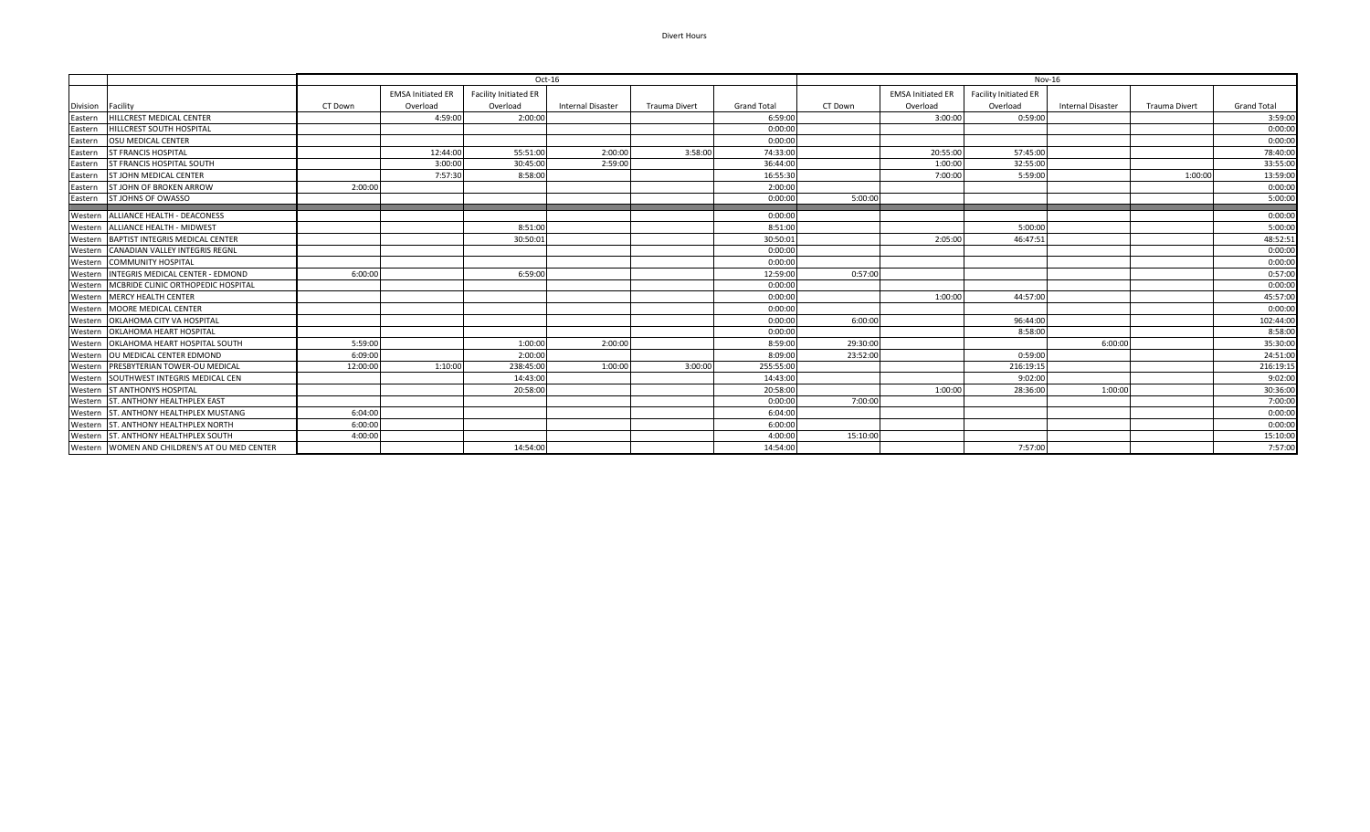## Divert Hours

|          |                                               | $Oct-16$ |                          |                       |                          |                      |                    | Nov-16   |                          |                       |                          |                      |                    |  |
|----------|-----------------------------------------------|----------|--------------------------|-----------------------|--------------------------|----------------------|--------------------|----------|--------------------------|-----------------------|--------------------------|----------------------|--------------------|--|
|          |                                               |          | <b>EMSA Initiated ER</b> | Facility Initiated ER |                          |                      |                    |          | <b>EMSA Initiated ER</b> | Facility Initiated ER |                          |                      |                    |  |
| Division | Facility                                      | CT Down  | Overload                 | Overload              | <b>Internal Disaster</b> | <b>Trauma Divert</b> | <b>Grand Total</b> | CT Down  | Overload                 | Overload              | <b>Internal Disaster</b> | <b>Trauma Divert</b> | <b>Grand Total</b> |  |
| Eastern  | HILLCREST MEDICAL CENTER                      |          | 4:59:00                  | 2:00:00               |                          |                      | 6:59:00            |          | 3:00:00                  | 0:59:00               |                          |                      | 3:59:00            |  |
| Eastern  | <b>HILLCREST SOUTH HOSPITAL</b>               |          |                          |                       |                          |                      | 0:00:00            |          |                          |                       |                          |                      | 0:00:00            |  |
| Eastern  | <b>OSU MEDICAL CENTER</b>                     |          |                          |                       |                          |                      | 0:00:00            |          |                          |                       |                          |                      | 0:00:00            |  |
| Eastern  | <b>ST FRANCIS HOSPITAL</b>                    |          | 12:44:00                 | 55:51:00              | 2:00:00                  | 3:58:00              | 74:33:00           |          | 20:55:00                 | 57:45:00              |                          |                      | 78:40:00           |  |
| Eastern  | ST FRANCIS HOSPITAL SOUTH                     |          | 3:00:00                  | 30:45:00              | 2:59:00                  |                      | 36:44:00           |          | 1:00:00                  | 32:55:00              |                          |                      | 33:55:00           |  |
| Eastern  | <b>ST JOHN MEDICAL CENTER</b>                 |          | 7:57:30                  | 8:58:00               |                          |                      | 16:55:30           |          | 7:00:00                  | 5:59:00               |                          | 1:00:00              | 13:59:00           |  |
| Eastern  | ST JOHN OF BROKEN ARROW                       | 2:00:00  |                          |                       |                          |                      | 2:00:00            |          |                          |                       |                          |                      | 0:00:00            |  |
| Eastern  | ST JOHNS OF OWASSO                            |          |                          |                       |                          |                      | 0:00:00            | 5:00:00  |                          |                       |                          |                      | 5:00:00            |  |
| Western  | <b>ALLIANCE HEALTH - DEACONESS</b>            |          |                          |                       |                          |                      | 0:00:00            |          |                          |                       |                          |                      | 0:00:00            |  |
|          | Western ALLIANCE HEALTH - MIDWEST             |          |                          | 8:51:00               |                          |                      | 8:51:00            |          |                          | 5:00:00               |                          |                      | 5:00:00            |  |
| Western  | BAPTIST INTEGRIS MEDICAL CENTER               |          |                          | 30:50:02              |                          |                      | 30:50:03           |          | 2:05:00                  | 46:47:51              |                          |                      | 48:52:51           |  |
| Western  | <b>CANADIAN VALLEY INTEGRIS REGNL</b>         |          |                          |                       |                          |                      | 0:00:00            |          |                          |                       |                          |                      | 0:00:00            |  |
| Western  | <b>COMMUNITY HOSPITAL</b>                     |          |                          |                       |                          |                      | 0:00:00            |          |                          |                       |                          |                      | 0:00:00            |  |
| Western  | INTEGRIS MEDICAL CENTER - EDMOND              | 6:00:00  |                          | 6:59:00               |                          |                      | 12:59:00           | 0:57:00  |                          |                       |                          |                      | 0:57:00            |  |
| Western  | MCBRIDE CLINIC ORTHOPEDIC HOSPITAL            |          |                          |                       |                          |                      | 0:00:00            |          |                          |                       |                          |                      | 0:00:00            |  |
| Western  | <b>MERCY HEALTH CENTER</b>                    |          |                          |                       |                          |                      | 0:00:00            |          | 1:00:00                  | 44:57:00              |                          |                      | 45:57:00           |  |
| Western  | MOORE MEDICAL CENTER                          |          |                          |                       |                          |                      | 0:00:00            |          |                          |                       |                          |                      | 0:00:00            |  |
|          | Western OKLAHOMA CITY VA HOSPITAL             |          |                          |                       |                          |                      | 0:00:00            | 6:00:00  |                          | 96:44:00              |                          |                      | 102:44:00          |  |
| Western  | OKLAHOMA HEART HOSPITAL                       |          |                          |                       |                          |                      | 0:00:00            |          |                          | 8:58:00               |                          |                      | 8:58:00            |  |
| Western  | OKLAHOMA HEART HOSPITAL SOUTH                 | 5:59:00  |                          | 1:00:00               | 2:00:00                  |                      | 8:59:00            | 29:30:00 |                          |                       | 6:00:00                  |                      | 35:30:00           |  |
| Western  | OU MEDICAL CENTER EDMOND                      | 6:09:00  |                          | 2:00:00               |                          |                      | 8:09:00            | 23:52:00 |                          | 0:59:00               |                          |                      | 24:51:00           |  |
| Western  | PRESBYTERIAN TOWER-OU MEDICAL                 | 12:00:00 | 1:10:00                  | 238:45:00             | 1:00:00                  | 3:00:00              | 255:55:0           |          |                          | 216:19:15             |                          |                      | 216:19:15          |  |
| Western  | SOUTHWEST INTEGRIS MEDICAL CEN                |          |                          | 14:43:00              |                          |                      | 14:43:00           |          |                          | 9:02:00               |                          |                      | 9:02:00            |  |
| Western  | <b>ST ANTHONYS HOSPITAL</b>                   |          |                          | 20:58:00              |                          |                      | 20:58:00           |          | 1:00:00                  | 28:36:00              | 1:00:00                  |                      | 30:36:00           |  |
| Western  | ST. ANTHONY HEALTHPLEX EAST                   |          |                          |                       |                          |                      | 0:00:0             | 7:00:00  |                          |                       |                          |                      | 7:00:00            |  |
| Western  | ST. ANTHONY HEALTHPLEX MUSTANG                | 6:04:00  |                          |                       |                          |                      | 6:04:00            |          |                          |                       |                          |                      | 0:00:00            |  |
| Western  | ST. ANTHONY HEALTHPLEX NORTH                  | 6:00:00  |                          |                       |                          |                      | 6:00:00            |          |                          |                       |                          |                      | 0:00:00            |  |
| Western  | ST. ANTHONY HEALTHPLEX SOUTH                  | 4:00:00  |                          |                       |                          |                      | 4:00:00            | 15:10:00 |                          |                       |                          |                      | 15:10:00           |  |
|          | Western WOMEN AND CHILDREN'S AT OU MED CENTER |          |                          | 14:54:00              |                          |                      | 14:54:00           |          |                          | 7:57:00               |                          |                      | 7:57:00            |  |